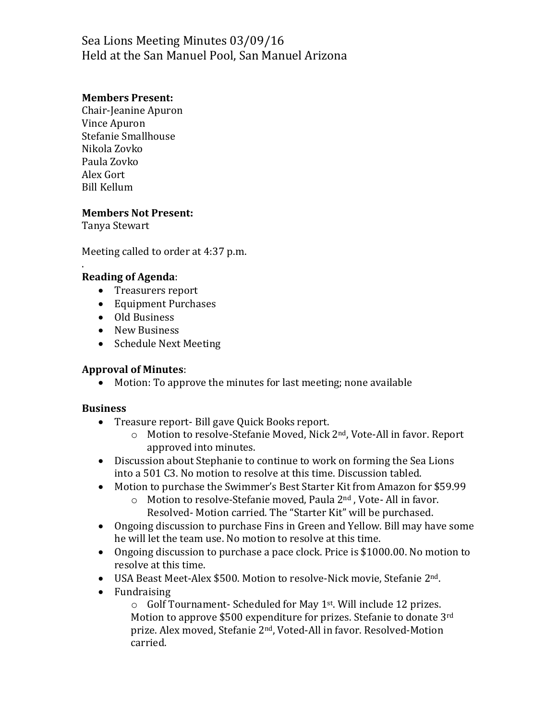# Sea Lions Meeting Minutes 03/09/16 Held at the San Manuel Pool, San Manuel Arizona

### **Members Present:**

Chair-Jeanine Apuron Vince Apuron Stefanie Smallhouse Nikola Zovko Paula Zovko Alex Gort Bill Kellum

#### **Members Not Present:**

Tanya Stewart

.

Meeting called to order at 4:37 p.m.

### **Reading of Agenda**:

- Treasurers report
- Equipment Purchases
- Old Business
- New Business
- Schedule Next Meeting

#### **Approval of Minutes**:

Motion: To approve the minutes for last meeting; none available

#### **Business**

- Treasure report- Bill gave Quick Books report.
	- o Motion to resolve-Stefanie Moved, Nick 2nd, Vote-All in favor. Report approved into minutes.
- Discussion about Stephanie to continue to work on forming the Sea Lions into a 501 C3. No motion to resolve at this time. Discussion tabled.
- Motion to purchase the Swimmer's Best Starter Kit from Amazon for \$59.99
	- o Motion to resolve-Stefanie moved, Paula 2nd , Vote- All in favor. Resolved- Motion carried. The "Starter Kit" will be purchased.
- Ongoing discussion to purchase Fins in Green and Yellow. Bill may have some he will let the team use. No motion to resolve at this time.
- Ongoing discussion to purchase a pace clock. Price is \$1000.00. No motion to resolve at this time.
- USA Beast Meet-Alex \$500. Motion to resolve-Nick movie, Stefanie 2nd.
- Fundraising

o Golf Tournament- Scheduled for May 1st. Will include 12 prizes. Motion to approve \$500 expenditure for prizes. Stefanie to donate 3rd prize. Alex moved, Stefanie 2nd, Voted-All in favor. Resolved-Motion carried.